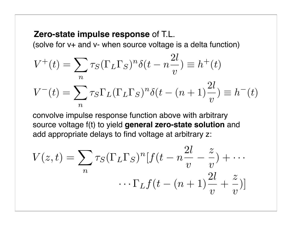#### **Zero-state impulse response** of T.L.

(solve for v+ and v- when source voltage is a delta function)

$$
V^+(t) = \sum_n \tau_S (\Gamma_L \Gamma_S)^n \delta(t - n \frac{2l}{v}) \equiv h^+(t)
$$

$$
V^-(t) = \sum_n \tau_S \Gamma_L (\Gamma_L \Gamma_S)^n \delta(t - (n+1)\frac{2l}{v}) \equiv h^-(t)
$$

convolve impulse response function above with arbitrary source voltage f(t) to yield **general zero-state solution** and add appropriate delays to find voltage at arbitrary z:

$$
V(z,t) = \sum_{n} \tau_S (\Gamma_L \Gamma_S)^n [f(t - n\frac{2l}{v} - \frac{z}{v}) + \cdots
$$

$$
\cdots \Gamma_L f(t - (n+1)\frac{2l}{v} + \frac{z}{v})]
$$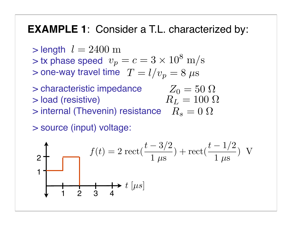### **EXAMPLE 1**: Consider a T.L. characterized by:

 $>$  length  $l = 2400 \text{ m}$ 

 $>$  tx phase speed  $v_p = c = 3 \times 10^8 \text{ m/s}$ 

 $>$  one-way travel time  $\; T=l/v_p=8\;\mu\mathrm{s}$ 

 $>$  characteristic impedance  $Z_0 = 50 \Omega$ > load (resistive)  $R_L = 100 \Omega$ 

 $>$  internal (Thevenin) resistance  $R_s = 0$   $\Omega$ 

> source (input) voltage:

$$
2\begin{array}{c}\n\text{2} \\
\text{4} \\
\text{5} \\
\text{6}\n\end{array}\n\quad f(t) = 2 \text{ rect}\left(\frac{t - 3/2}{1 \text{ }\mu\text{s}}\right) + \text{rect}\left(\frac{t - 1/2}{1 \text{ }\mu\text{s}}\right) \text{ V}
$$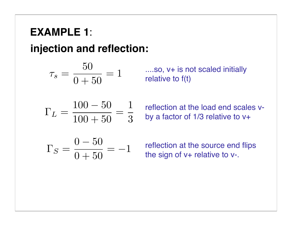**injection and reflection:**

$$
\tau_s = \frac{50}{0+50} = 1
$$

....so, v+ is not scaled initially relative to f(t)

$$
\Gamma_L = \frac{100 - 50}{100 + 50} = \frac{1}{3}
$$

reflection at the load end scales vby a factor of 1/3 relative to v+

$$
\Gamma_S = \frac{0 - 50}{0 + 50} = -1
$$

reflection at the source end flips the sign of v+ relative to v-.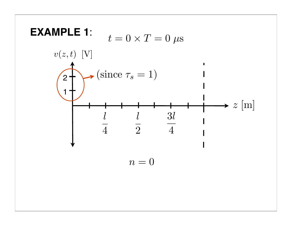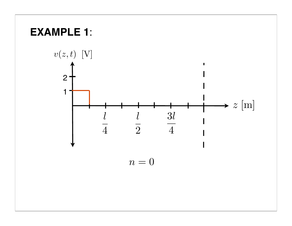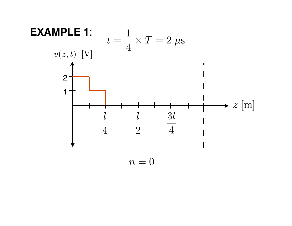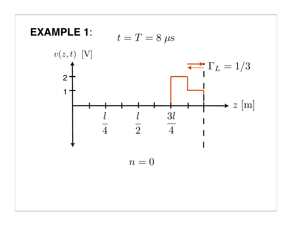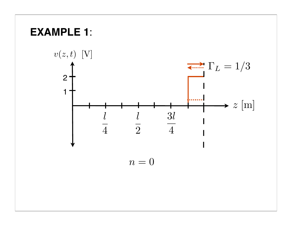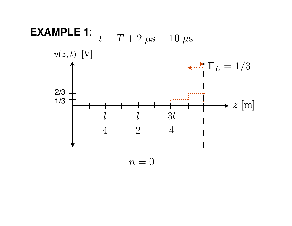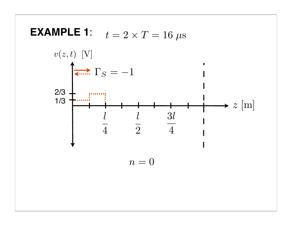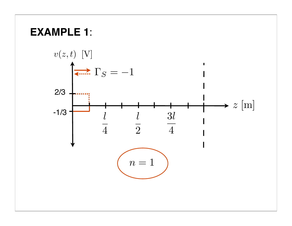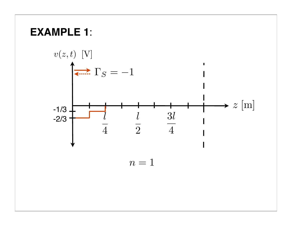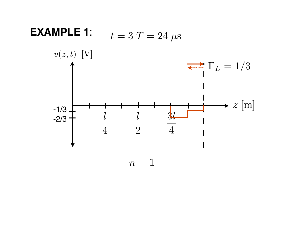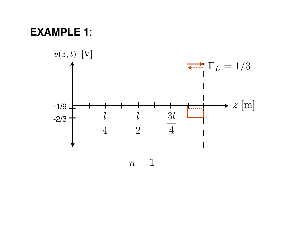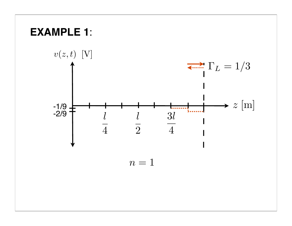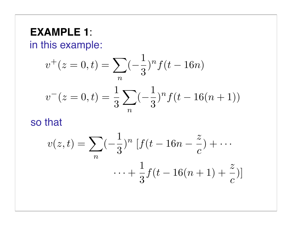in this example:

$$
v^{+}(z=0,t) = \sum_{n} (-\frac{1}{3})^{n} f(t-16n)
$$

$$
v^{-}(z=0,t) = \frac{1}{3} \sum_{n} (-\frac{1}{3})^{n} f(t-16(n+1))
$$

 $\overline{a}$ 

so that

$$
v(z,t) = \sum_{n} \left(-\frac{1}{3}\right)^{n} \left[f(t-16n-\frac{z}{c}) + \cdots + \frac{1}{3}f(t-16(n+1)+\frac{z}{c})\right]
$$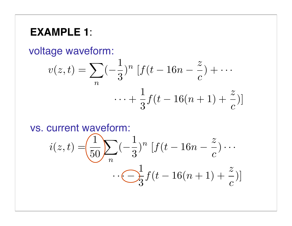voltage waveform:

$$
v(z,t) = \sum_{n} (-\frac{1}{3})^{n} \left[ f(t - 16n - \frac{z}{c}) + \cdots + \frac{1}{3} f(t - 16(n + 1) + \frac{z}{c}) \right]
$$

vs. current waveform:

$$
i(z,t) = \left(\frac{1}{50}\right) \sum_{n} \left(-\frac{1}{3}\right)^n \left[f(t-16n-\frac{z}{c})\cdots\right]
$$

$$
\cdots \underbrace{\bigodot}^1_3 f(t-16(n+1)+\frac{z}{c})]
$$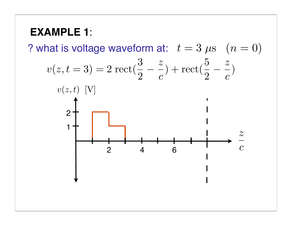? what is voltage waveform at:  $t = 3 \mu s$   $(n = 0)$ 

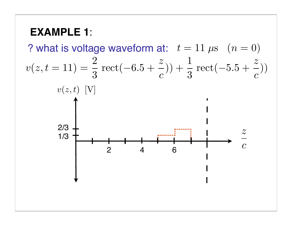? what is voltage waveform at:  $t = 11 \,\mu s$   $(n = 0)$ 1/3 2/3  $v(z,t)$  [V]  $\overline{z}$  $\frac{1}{c}$ 2 4 6  $v(z,t=11) =$ 2 3  $rect(-6.5 +$ z  $\overline{c}$  $)) +$ 1 3  $rect(-5.5 +$ z  $\overline{c}$ ))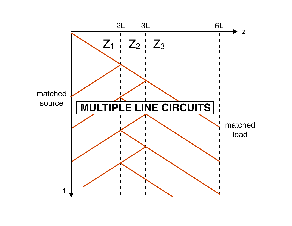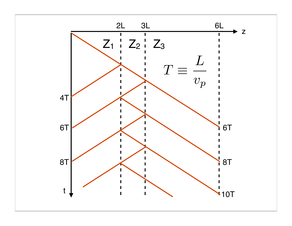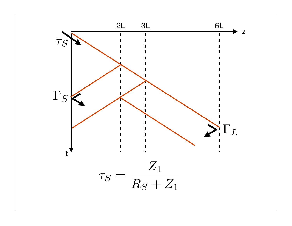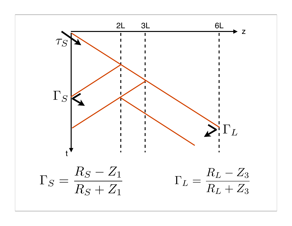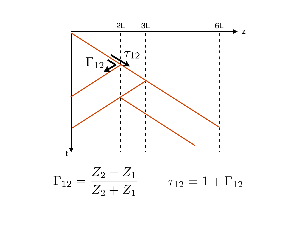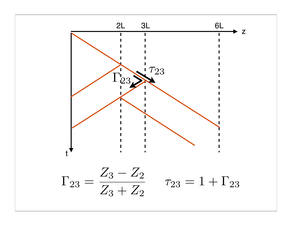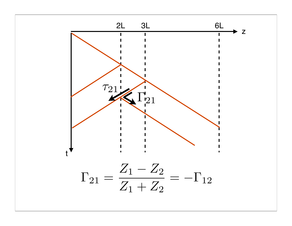